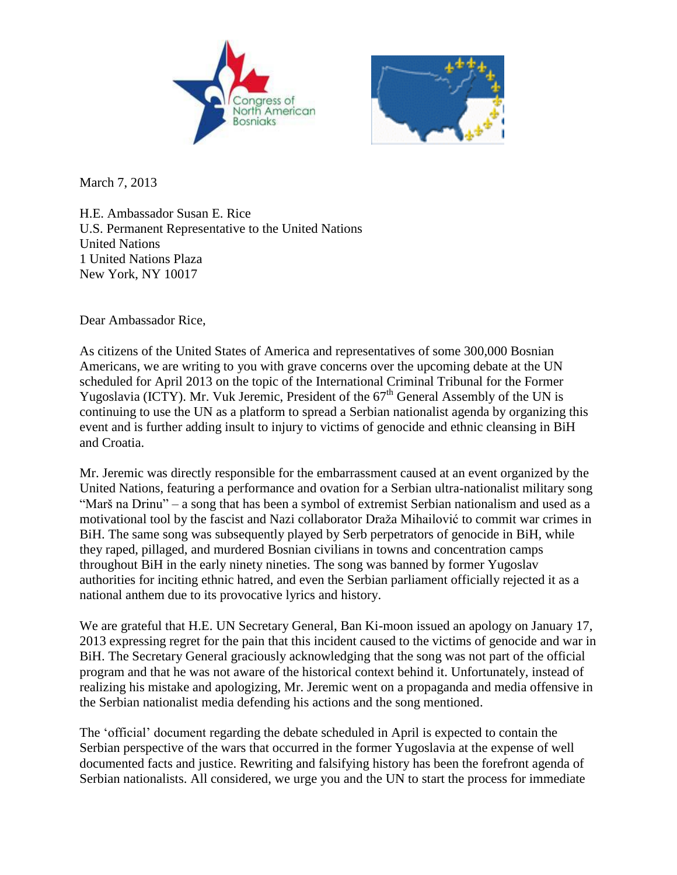



March 7, 2013

H.E. Ambassador Susan E. Rice U.S. Permanent Representative to the United Nations United Nations 1 United Nations Plaza New York, NY 10017

Dear Ambassador Rice,

As citizens of the United States of America and representatives of some 300,000 Bosnian Americans, we are writing to you with grave concerns over the upcoming debate at the UN scheduled for April 2013 on the topic of the International Criminal Tribunal for the Former Yugoslavia (ICTY). Mr. Vuk Jeremic, President of the  $67<sup>th</sup>$  General Assembly of the UN is continuing to use the UN as a platform to spread a Serbian nationalist agenda by organizing this event and is further adding insult to injury to victims of genocide and ethnic cleansing in BiH and Croatia.

Mr. Jeremic was directly responsible for the embarrassment caused at an event organized by the United Nations, featuring a performance and ovation for a Serbian ultra-nationalist military song "Marš na Drinu" – a song that has been a symbol of extremist Serbian nationalism and used as a motivational tool by the fascist and Nazi collaborator Draža Mihailović to commit war crimes in BiH. The same song was subsequently played by Serb perpetrators of genocide in BiH, while they raped, pillaged, and murdered Bosnian civilians in towns and concentration camps throughout BiH in the early ninety nineties. The song was banned by former Yugoslav authorities for inciting ethnic hatred, and even the Serbian parliament officially rejected it as a national anthem due to its provocative lyrics and history.

We are grateful that H.E. UN Secretary General, Ban Ki-moon issued an apology on January 17, 2013 expressing regret for the pain that this incident caused to the victims of genocide and war in BiH. The Secretary General graciously acknowledging that the song was not part of the official program and that he was not aware of the historical context behind it. Unfortunately, instead of realizing his mistake and apologizing, Mr. Jeremic went on a propaganda and media offensive in the Serbian nationalist media defending his actions and the song mentioned.

The 'official' document regarding the debate scheduled in April is expected to contain the Serbian perspective of the wars that occurred in the former Yugoslavia at the expense of well documented facts and justice. Rewriting and falsifying history has been the forefront agenda of Serbian nationalists. All considered, we urge you and the UN to start the process for immediate